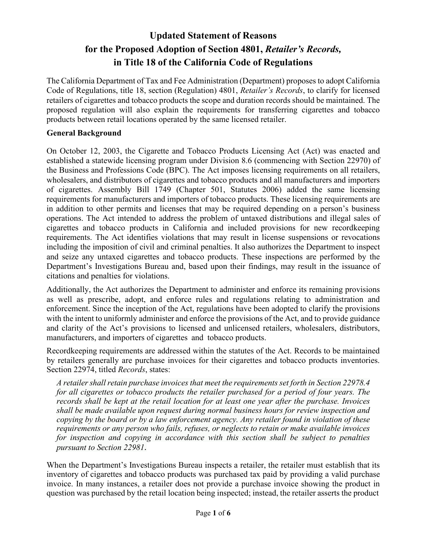# **Updated Statement of Reasons for the Proposed Adoption of Section 4801,** *Retailer's Records,* **in Title 18 of the California Code of Regulations**

The California Department of Tax and Fee Administration (Department) proposes to adopt California Code of Regulations, title 18, section (Regulation) 4801, *Retailer's Records*, to clarify for licensed retailers of cigarettes and tobacco products the scope and duration records should be maintained. The proposed regulation will also explain the requirements for transferring cigarettes and tobacco products between retail locations operated by the same licensed retailer.

#### **General Background**

On October 12, 2003, the Cigarette and Tobacco Products Licensing Act (Act) was enacted and established a statewide licensing program under Division 8.6 (commencing with Section 22970) of the Business and Professions Code (BPC). The Act imposes licensing requirements on all retailers, wholesalers, and distributors of cigarettes and tobacco products and all manufacturers and importers of cigarettes. Assembly Bill 1749 (Chapter 501, Statutes 2006) added the same licensing requirements for manufacturers and importers of tobacco products. These licensing requirements are in addition to other permits and licenses that may be required depending on a person's business operations. The Act intended to address the problem of untaxed distributions and illegal sales of cigarettes and tobacco products in California and included provisions for new recordkeeping requirements. The Act identifies violations that may result in license suspensions or revocations including the imposition of civil and criminal penalties. It also authorizes the Department to inspect and seize any untaxed cigarettes and tobacco products. These inspections are performed by the Department's Investigations Bureau and, based upon their findings, may result in the issuance of citations and penalties for violations.

Additionally, the Act authorizes the Department to administer and enforce its remaining provisions as well as prescribe, adopt, and enforce rules and regulations relating to administration and enforcement. Since the inception of the Act, regulations have been adopted to clarify the provisions with the intent to uniformly administer and enforce the provisions of the Act, and to provide guidance and clarity of the Act's provisions to licensed and unlicensed retailers, wholesalers, distributors, manufacturers, and importers of cigarettes and tobacco products.

Recordkeeping requirements are addressed within the statutes of the Act. Records to be maintained by retailers generally are purchase invoices for their cigarettes and tobacco products inventories. Section 22974, titled *Records*, states:

*A retailershallretain purchase invoices that meet the requirements set forth in Section 22978.4 for all cigarettes or tobacco products the retailer purchased for a period of four years. The records shall be kept at the retail location for at least one year after the purchase. Invoices shall be made available upon request during normal business hours for review inspection and copying by the board or by a law enforcement agency. Any retailer found in violation of these requirements or any person who fails, refuses, or neglects to retain or make available invoices for inspection and copying in accordance with this section shall be subject to penalties pursuant to Section 22981.* 

When the Department's Investigations Bureau inspects a retailer, the retailer must establish that its inventory of cigarettes and tobacco products was purchased tax paid by providing a valid purchase invoice. In many instances, a retailer does not provide a purchase invoice showing the product in question was purchased by the retail location being inspected; instead, the retailer asserts the product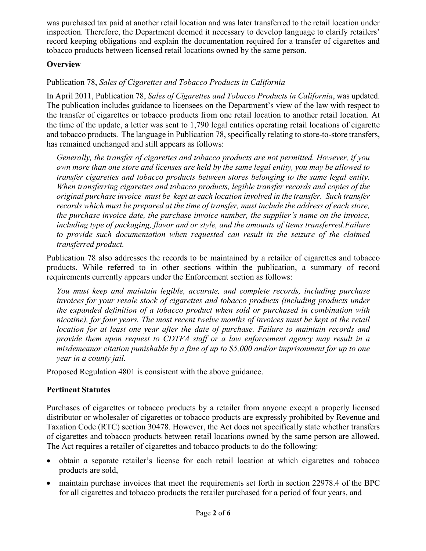was purchased tax paid at another retail location and was later transferred to the retail location under inspection. Therefore, the Department deemed it necessary to develop language to clarify retailers' record keeping obligations and explain the documentation required for a transfer of cigarettes and tobacco products between licensed retail locations owned by the same person.

## **Overview**

# Publication 78, *Sales of Cigarettes and Tobacco Products in California*

In April 2011, Publication 78, *Sales of Cigarettes and Tobacco Products in California*, was updated. The publication includes guidance to licensees on the Department's view of the law with respect to the transfer of cigarettes or tobacco products from one retail location to another retail location. At the time of the update, a letter was sent to 1,790 legal entities operating retail locations of cigarette and tobacco products. The language in Publication 78, specifically relating to store-to-store transfers, has remained unchanged and still appears as follows:

*Generally, the transfer of cigarettes and tobacco products are not permitted. However, if you own more than one store and licenses are held by the same legal entity, you may be allowed to transfer cigarettes and tobacco products between stores belonging to the same legal entity. When transferring cigarettes and tobacco products, legible transfer records and copies of the original purchase invoice must be kept at each location involved in the transfer. Such transfer records which must be prepared at the time of transfer, must include the address of each store, the purchase invoice date, the purchase invoice number, the supplier's name on the invoice, including type of packaging, flavor and or style, and the amounts of items transferred. Failure to provide such documentation when requested can result in the seizure of the claimed transferred product.* 

Publication 78 also addresses the records to be maintained by a retailer of cigarettes and tobacco products. While referred to in other sections within the publication, a summary of record requirements currently appears under the Enforcement section as follows:

*You must keep and maintain legible, accurate, and complete records, including purchase invoices for your resale stock of cigarettes and tobacco products (including products under the expanded definition of a tobacco product when sold or purchased in combination with nicotine), for four years. The most recent twelve months of invoices must be kept at the retail location for at least one year after the date of purchase. Failure to maintain records and provide them upon request to CDTFA staff or a law enforcement agency may result in a misdemeanor citation punishable by a fine of up to \$5,000 and/or imprisonment for up to one year in a county jail.*

Proposed Regulation 4801 is consistent with the above guidance.

# **Pertinent Statutes**

Purchases of cigarettes or tobacco products by a retailer from anyone except a properly licensed distributor or wholesaler of cigarettes or tobacco products are expressly prohibited by Revenue and Taxation Code (RTC) section 30478. However, the Act does not specifically state whether transfers of cigarettes and tobacco products between retail locations owned by the same person are allowed. The Act requires a retailer of cigarettes and tobacco products to do the following:

- obtain a separate retailer's license for each retail location at which cigarettes and tobacco products are sold,
- maintain purchase invoices that meet the requirements set forth in section 22978.4 of the BPC for all cigarettes and tobacco products the retailer purchased for a period of four years, and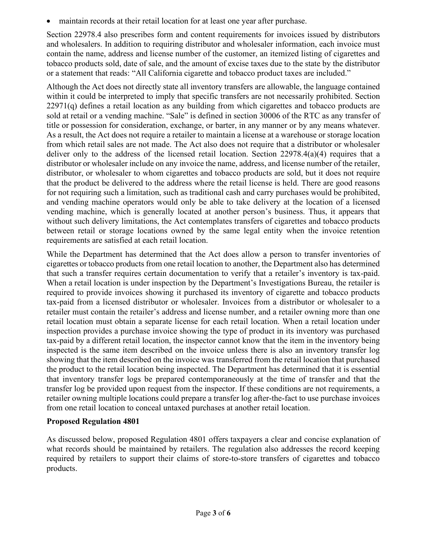maintain records at their retail location for at least one year after purchase.

Section 22978.4 also prescribes form and content requirements for invoices issued by distributors and wholesalers. In addition to requiring distributor and wholesaler information, each invoice must contain the name, address and license number of the customer, an itemized listing of cigarettes and tobacco products sold, date of sale, and the amount of excise taxes due to the state by the distributor or a statement that reads: "All California cigarette and tobacco product taxes are included."

Although the Act does not directly state all inventory transfers are allowable, the language contained within it could be interpreted to imply that specific transfers are not necessarily prohibited. Section  $22971(q)$  defines a retail location as any building from which cigarettes and tobacco products are sold at retail or a vending machine. "Sale" is defined in section 30006 of the RTC as any transfer of title or possession for consideration, exchange, or barter, in any manner or by any means whatever. As a result, the Act does not require a retailer to maintain a license at a warehouse or storage location from which retail sales are not made. The Act also does not require that a distributor or wholesaler deliver only to the address of the licensed retail location. Section 22978.4(a)(4) requires that a distributor or wholesaler include on any invoice the name, address, and license number of the retailer, distributor, or wholesaler to whom cigarettes and tobacco products are sold, but it does not require that the product be delivered to the address where the retail license is held. There are good reasons for not requiring such a limitation, such as traditional cash and carry purchases would be prohibited, and vending machine operators would only be able to take delivery at the location of a licensed vending machine, which is generally located at another person's business. Thus, it appears that without such delivery limitations, the Act contemplates transfers of cigarettes and tobacco products between retail or storage locations owned by the same legal entity when the invoice retention requirements are satisfied at each retail location.

While the Department has determined that the Act does allow a person to transfer inventories of cigarettes or tobacco products from one retail location to another, the Department also has determined that such a transfer requires certain documentation to verify that a retailer's inventory is tax-paid. When a retail location is under inspection by the Department's Investigations Bureau, the retailer is required to provide invoices showing it purchased its inventory of cigarette and tobacco products tax-paid from a licensed distributor or wholesaler. Invoices from a distributor or wholesaler to a retailer must contain the retailer's address and license number, and a retailer owning more than one retail location must obtain a separate license for each retail location. When a retail location under inspection provides a purchase invoice showing the type of product in its inventory was purchased tax-paid by a different retail location, the inspector cannot know that the item in the inventory being inspected is the same item described on the invoice unless there is also an inventory transfer log showing that the item described on the invoice was transferred from the retail location that purchased the product to the retail location being inspected. The Department has determined that it is essential that inventory transfer logs be prepared contemporaneously at the time of transfer and that the transfer log be provided upon request from the inspector. If these conditions are not requirements, a retailer owning multiple locations could prepare a transfer log after-the-fact to use purchase invoices from one retail location to conceal untaxed purchases at another retail location.

## **Proposed Regulation 4801**

As discussed below, proposed Regulation 4801 offers taxpayers a clear and concise explanation of what records should be maintained by retailers. The regulation also addresses the record keeping required by retailers to support their claims of store-to-store transfers of cigarettes and tobacco products.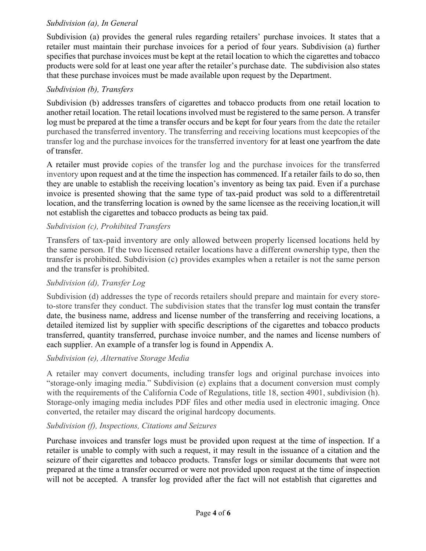#### *Subdivision (a), In General*

Subdivision (a) provides the general rules regarding retailers' purchase invoices. It states that a retailer must maintain their purchase invoices for a period of four years. Subdivision (a) further specifies that purchase invoices must be kept at the retail location to which the cigarettes and tobacco products were sold for at least one year after the retailer's purchase date. The subdivision also states that these purchase invoices must be made available upon request by the Department.

## *Subdivision (b), Transfers*

Subdivision (b) addresses transfers of cigarettes and tobacco products from one retail location to another retail location. The retail locations involved must be registered to the same person. A transfer log must be prepared at the time a transfer occurs and be kept for four years from the date the retailer purchased the transferred inventory. The transferring and receiving locations must keepcopies of the transfer log and the purchase invoices for the transferred inventory for at least one yearfrom the date of transfer.

A retailer must provide copies of the transfer log and the purchase invoices for the transferred inventory upon request and at the time the inspection has commenced. If a retailer fails to do so, then they are unable to establish the receiving location's inventory as being tax paid. Even if a purchase invoice is presented showing that the same type of tax-paid product was sold to a differentretail location, and the transferring location is owned by the same licensee as the receiving location, it will not establish the cigarettes and tobacco products as being tax paid.

## *Subdivision (c), Prohibited Transfers*

Transfers of tax-paid inventory are only allowed between properly licensed locations held by the same person. If the two licensed retailer locations have a different ownership type, then the transfer is prohibited. Subdivision (c) provides examples when a retailer is not the same person and the transfer is prohibited.

## *Subdivision (d), Transfer Log*

Subdivision (d) addresses the type of records retailers should prepare and maintain for every storeto-store transfer they conduct. The subdivision states that the transfer log must contain the transfer date, the business name, address and license number of the transferring and receiving locations, a detailed itemized list by supplier with specific descriptions of the cigarettes and tobacco products transferred, quantity transferred, purchase invoice number, and the names and license numbers of each supplier. An example of a transfer log is found in Appendix A.

## *Subdivision (e), Alternative Storage Media*

A retailer may convert documents, including transfer logs and original purchase invoices into "storage-only imaging media." Subdivision (e) explains that a document conversion must comply with the requirements of the California Code of Regulations, title 18, section 4901, subdivision (h). Storage-only imaging media includes PDF files and other media used in electronic imaging. Once converted, the retailer may discard the original hardcopy documents.

# *Subdivision (f), Inspections, Citations and Seizures*

Purchase invoices and transfer logs must be provided upon request at the time of inspection. If a retailer is unable to comply with such a request, it may result in the issuance of a citation and the seizure of their cigarettes and tobacco products. Transfer logs or similar documents that were not prepared at the time a transfer occurred or were not provided upon request at the time of inspection will not be accepted. A transfer log provided after the fact will not establish that cigarettes and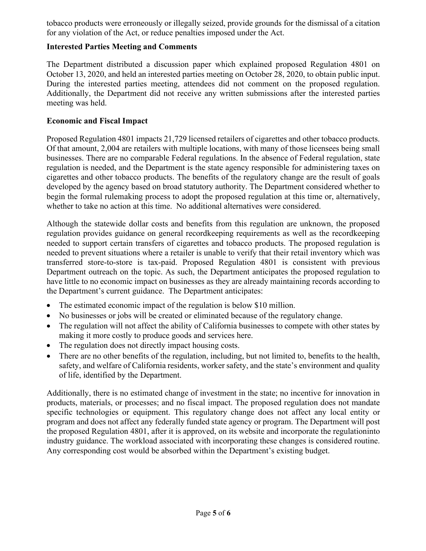tobacco products were erroneously or illegally seized, provide grounds for the dismissal of a citation for any violation of the Act, or reduce penalties imposed under the Act.

#### **Interested Parties Meeting and Comments**

The Department distributed a discussion paper which explained proposed Regulation 4801 on October 13, 2020, and held an interested parties meeting on October 28, 2020, to obtain public input. During the interested parties meeting, attendees did not comment on the proposed regulation. Additionally, the Department did not receive any written submissions after the interested parties meeting was held.

#### **Economic and Fiscal Impact**

Proposed Regulation 4801 impacts 21,729 licensed retailers of cigarettes and other tobacco products. Of that amount, 2,004 are retailers with multiple locations, with many of those licensees being small businesses. There are no comparable Federal regulations. In the absence of Federal regulation, state regulation is needed, and the Department is the state agency responsible for administering taxes on cigarettes and other tobacco products. The benefits of the regulatory change are the result of goals developed by the agency based on broad statutory authority. The Department considered whether to begin the formal rulemaking process to adopt the proposed regulation at this time or, alternatively, whether to take no action at this time. No additional alternatives were considered.

Although the statewide dollar costs and benefits from this regulation are unknown, the proposed regulation provides guidance on general recordkeeping requirements as well as the recordkeeping needed to support certain transfers of cigarettes and tobacco products. The proposed regulation is needed to prevent situations where a retailer is unable to verify that their retail inventory which was transferred store-to-store is tax-paid. Proposed Regulation 4801 is consistent with previous Department outreach on the topic. As such, the Department anticipates the proposed regulation to have little to no economic impact on businesses as they are already maintaining records according to the Department's current guidance. The Department anticipates:

- The estimated economic impact of the regulation is below \$10 million.
- No businesses or jobs will be created or eliminated because of the regulatory change.
- The regulation will not affect the ability of California businesses to compete with other states by making it more costly to produce goods and services here.
- The regulation does not directly impact housing costs.
- There are no other benefits of the regulation, including, but not limited to, benefits to the health, safety, and welfare of California residents, worker safety, and the state's environment and quality of life, identified by the Department.

Additionally, there is no estimated change of investment in the state; no incentive for innovation in products, materials, or processes; and no fiscal impact. The proposed regulation does not mandate specific technologies or equipment. This regulatory change does not affect any local entity or program and does not affect any federally funded state agency or program. The Department will post the proposed Regulation 4801, after it is approved, on its website and incorporate the regulation into industry guidance. The workload associated with incorporating these changes is considered routine. Any corresponding cost would be absorbed within the Department's existing budget.